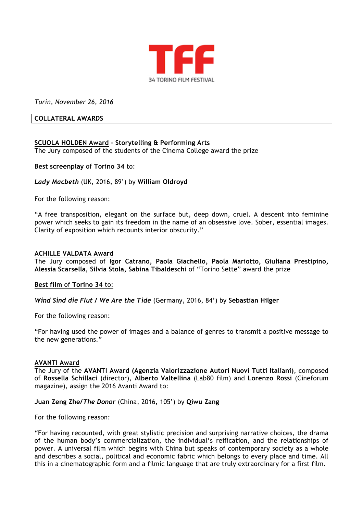

*Turin, November 26, 2016*

# **COLLATERAL AWARDS**

# **SCUOLA HOLDEN Award – Storytelling & Performing Arts**

The Jury composed of the students of the Cinema College award the prize

# **Best screenplay** of **Torino 34** to:

*Lady Macbeth* (UK, 2016, 89') by **William Oldroyd**

For the following reason:

"A free transposition, elegant on the surface but, deep down, cruel. A descent into feminine power which seeks to gain its freedom in the name of an obsessive love. Sober, essential images. Clarity of exposition which recounts interior obscurity."

## **ACHILLE VALDATA Award**

The Jury composed of **Igor Catrano, Paola Giachello, Paola Mariotto, Giuliana Prestipino, Alessia Scarsella, Silvia Stola, Sabina Tibaldeschi** of "Torino Sette" award the prize

#### **Best film** of **Torino 34** to:

*Wind Sind die Flut / We Are the Tide* (Germany, 2016, 84') by **Sebastian Hilger**

For the following reason:

"For having used the power of images and a balance of genres to transmit a positive message to the new generations."

#### **AVANTI Award**

The Jury of the **AVANTI Award (Agenzia Valorizzazione Autori Nuovi Tutti Italiani)**, composed of **Rossella Schillaci** (director), **Alberto Valtellina** (Lab80 film) and **Lorenzo Rossi** (Cineforum magazine), assign the 2016 Avanti Award to:

#### **Juan Zeng Zhe***/The Donor* (China, 2016, 105') by **Qiwu Zang**

For the following reason:

"For having recounted, with great stylistic precision and surprising narrative choices, the drama of the human body's commercialization, the individual's reification, and the relationships of power. A universal film which begins with China but speaks of contemporary society as a whole and describes a social, political and economic fabric which belongs to every place and time. All this in a cinematographic form and a filmic language that are truly extraordinary for a first film.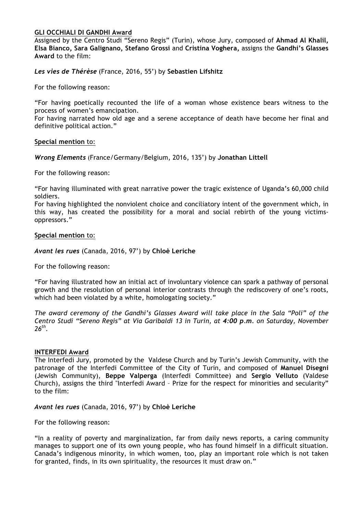# **GLI OCCHIALI DI GANDHI Award**

Assigned by the Centro Studi "Sereno Regis" (Turin), whose Jury, composed of **Ahmad Al Khalil, Elsa Bianco, Sara Galignano, Stefano Grossi** and **Cristina Voghera,** assigns the **Gandhi's Glasses Award** to the film:

*Les vies de Thérèse* (France, 2016, 55') by **Sebastien Lifshitz**

For the following reason:

"For having poetically recounted the life of a woman whose existence bears witness to the process of women's emancipation.

For having narrated how old age and a serene acceptance of death have become her final and definitive political action."

**Special mention** to:

*Wrong Elements* (France/Germany/Belgium, 2016, 135') by **Jonathan Littell**

For the following reason:

"For having illuminated with great narrative power the tragic existence of Uganda's 60,000 child soldiers.

For having highlighted the nonviolent choice and conciliatory intent of the government which, in this way, has created the possibility for a moral and social rebirth of the young victimsoppressors."

#### **Special mention** to:

*Avant les rues* (Canada, 2016, 97') by **Chloè Leriche**

For the following reason:

"For having illustrated how an initial act of involuntary violence can spark a pathway of personal growth and the resolution of personal interior contrasts through the rediscovery of one's roots, which had been violated by a white, homologating society."

*The award ceremony of the Gandhi's Glasses Award will take place in the Sala "Poli" of the Centro Studi "Sereno Regis" at Via Garibaldi 13 in Turin, at 4:00 p.m. on Saturday, November 26th.* 

#### **INTERFEDI Award**

The Interfedi Jury, promoted by the Valdese Church and by Turin's Jewish Community, with the patronage of the Interfedi Committee of the City of Turin, and composed of **Manuel Disegni** (Jewish Community), **Beppe Valperga** (Interfedi Committee) and **Sergio Velluto** (Valdese Church), assigns the third "Interfedi Award – Prize for the respect for minorities and secularity" to the film:

*Avant les rues* (Canada, 2016, 97') by **Chloè Leriche**

For the following reason:

"In a reality of poverty and marginalization, far from daily news reports, a caring community manages to support one of its own young people, who has found himself in a difficult situation. Canada's indigenous minority, in which women, too, play an important role which is not taken for granted, finds, in its own spirituality, the resources it must draw on."